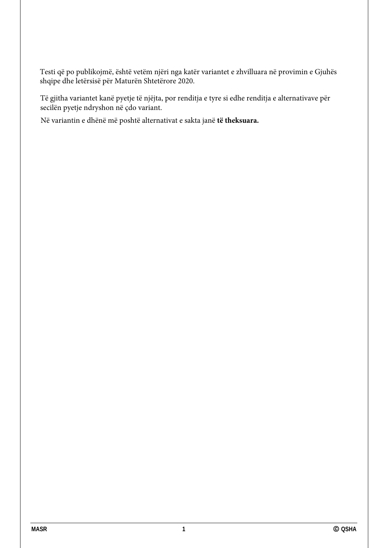Testi që po publikojmë, është vetëm njëri nga katër variantet e zhvilluara në provimin e Gjuhës shqipe dhe letërsisë për Maturën Shtetërore 2020.

Të gjitha variantet kanë pyetje të njëjta, por renditja e tyre si edhe renditja e alternativave për secilën pyetje ndryshon në çdo variant.

Në variantin e dhënë më poshtë alternativat e sakta janë **të theksuara.**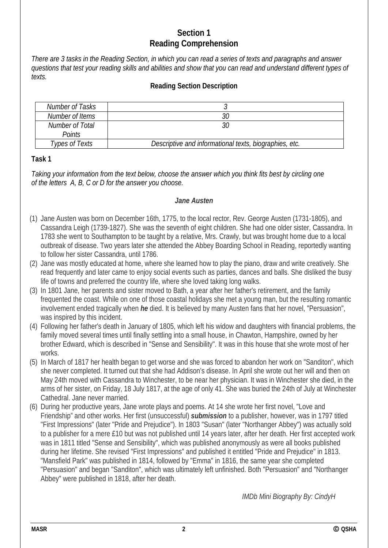# **Section 1 Reading Comprehension**

*There are 3 tasks in the Reading Section, in which you can read a series of texts and paragraphs and answer questions that test your reading skills and abilities and show that you can read and understand different types of texts.* 

### **Reading Section Description**

| Number of Tasks |                                                        |
|-----------------|--------------------------------------------------------|
| Number of Items | 30                                                     |
| Number of Total | 30                                                     |
| <b>Points</b>   |                                                        |
| Types of Texts  | Descriptive and informational texts, biographies, etc. |

#### **Task 1**

*Taking your information from the text below, choose the answer which you think fits best by circling one of the letters A, B, C or D for the answer you choose.* 

#### *Jane Austen*

- (1) Jane Austen was born on December 16th, 1775, to the local rector, Rev. George Austen (1731-1805), and Cassandra Leigh (1739-1827). She was the seventh of eight children. She had one older sister, Cassandra. In 1783 she went to Southampton to be taught by a relative, Mrs. Crawly, but was brought home due to a local outbreak of disease. Two years later she attended the Abbey Boarding School in Reading, reportedly wanting to follow her sister Cassandra, until 1786.
- (2) Jane was mostly educated at home, where she learned how to play the piano, draw and write creatively. She read frequently and later came to enjoy social events such as parties, dances and balls. She disliked the busy life of towns and preferred the country life, where she loved taking long walks.
- (3) In 1801 Jane, her parents and sister moved to Bath, a year after her father's retirement, and the family frequented the coast. While on one of those coastal holidays she met a young man, but the resulting romantic involvement ended tragically when *he* died. It is believed by many Austen fans that her novel, "Persuasion", was inspired by this incident.
- (4) Following her father's death in January of 1805, which left his widow and daughters with financial problems, the family moved several times until finally settling into a small house, in Chawton, Hampshire, owned by her brother Edward, which is described in "Sense and Sensibility". It was in this house that she wrote most of her works.
- (5) In March of 1817 her health began to get worse and she was forced to abandon her work on "Sanditon", which she never completed. It turned out that she had Addison's disease. In April she wrote out her will and then on May 24th moved with Cassandra to Winchester, to be near her physician. It was in Winchester she died, in the arms of her sister, on Friday, 18 July 1817, at the age of only 41. She was buried the 24th of July at Winchester Cathedral. Jane never married.
- (6) During her productive years, Jane wrote plays and poems. At 14 she wrote her first novel, "Love and Friendship" and other works. Her first (unsuccessful) *submission* to a publisher, however, was in 1797 titled "First Impressions" (later "Pride and Prejudice"). In 1803 "Susan" (later "Northanger Abbey") was actually sold to a publisher for a mere £10 but was not published until 14 years later, after her death. Her first accepted work was in 1811 titled "Sense and Sensibility", which was published anonymously as were all books published during her lifetime. She revised "First Impressions" and published it entitled "Pride and Prejudice" in 1813. "Mansfield Park" was published in 1814, followed by "Emma" in 1816, the same year she completed "Persuasion" and began "Sanditon", which was ultimately left unfinished. Both "Persuasion" and "Northanger Abbey" were published in 1818, after her death.

 *IMDb Mini Biography By: CindyH*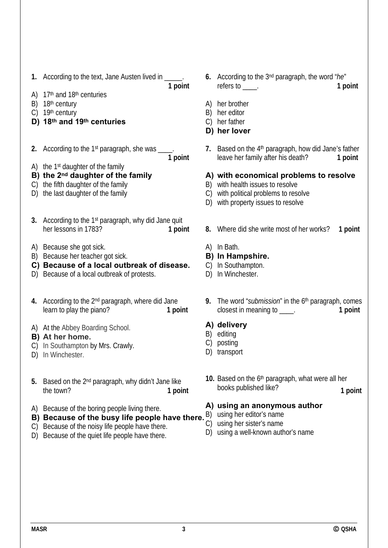**1.** According to the text, Jane Austen lived in \_\_\_\_\_.

**1 point**

**1 point**

- A)  $17<sup>th</sup>$  and  $18<sup>th</sup>$  centuries
- B) 18<sup>th</sup> century
- C) 19th century
- **D) 18th and 19th centuries**
- **2.** According to the 1<sup>st</sup> paragraph, she was \_\_\_
- A) the 1st daughter of the family
- **B) the 2nd daughter of the family**
- C) the fifth daughter of the family
- D) the last daughter of the family
- **3.** According to the 1st paragraph, why did Jane quit her lessons in 1783? **1 point**
- A) Because she got sick.
- B) Because her teacher got sick.
- **C) Because of a local outbreak of disease.**
- D) Because of a local outbreak of protests.
- **4.** According to the 2nd paragraph, where did Jane learn to play the piano? **1 point**
- A) At the Abbey Boarding School.
- **B) At her home.**
- C) In Southampton by Mrs. Crawly.
- D) In Winchester.
- **5.** Based on the 2nd paragraph, why didn't Jane like the town? **1 point**
- A) Because of the boring people living there.
- **B)** Because of the busy life people have there. B) using her editor's name
- C) Because of the noisy life people have there.
- D) Because of the quiet life people have there.
- **6.** According to the 3nd paragraph, the word "*he*" refers to \_\_\_\_. **1 point**
- A) her brother
- B) her editor
- C) her father
- **D) her lover**
- **7.** Based on the 4th paragraph, how did Jane's father leave her family after his death? **1 point**
- **A) with economical problems to resolve**
- B) with health issues to resolve
- C) with political problems to resolve
- D) with property issues to resolve
- **8.** Where did she write most of her works? **1 point**
- A) In Bath.
- **B) In Hampshire.**
- C) In Southampton.
- D) In Winchester.
- **9.** The word "*submission*" in the 6th paragraph, comes closest in meaning to \_\_\_\_. **1 point**
- **A) delivery**
- B) editing
- C) posting
- D) transport
- **10.** Based on the 6th paragraph, what were all her books published like? **1 point**

### **A) using an anonymous author**

- 
- C) using her sister's name
- D) using a well-known author's name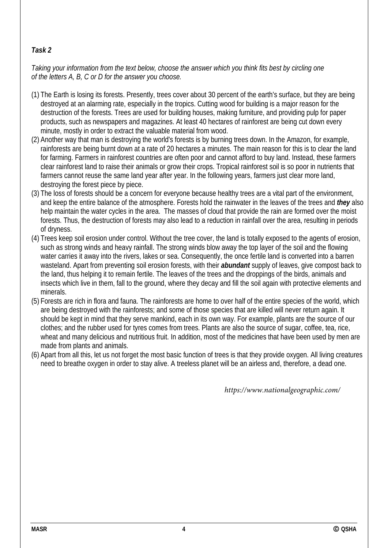# *Task 2*

*Taking your information from the text below, choose the answer which you think fits best by circling one of the letters A, B, C or D for the answer you choose.* 

- (1) The Earth is losing its forests. Presently, trees cover about 30 percent of the earth's surface, but they are being destroyed at an alarming rate, especially in the tropics. Cutting wood for building is a major reason for the destruction of the forests. Trees are used for building houses, making furniture, and providing pulp for paper products, such as newspapers and magazines. At least 40 hectares of rainforest are being cut down every minute, mostly in order to extract the valuable material from wood.
- (2) Another way that man is destroying the world's forests is by burning trees down. In the Amazon, for example, rainforests are being burnt down at a rate of 20 hectares a minutes. The main reason for this is to clear the land for farming. Farmers in rainforest countries are often poor and cannot afford to buy land. Instead, these farmers clear rainforest land to raise their animals or grow their crops. Tropical rainforest soil is so poor in nutrients that farmers cannot reuse the same land year after year. In the following years, farmers just clear more land, destroying the forest piece by piece.
- (3) The loss of forests should be a concern for everyone because healthy trees are a vital part of the environment, and keep the entire balance of the atmosphere. Forests hold the rainwater in the leaves of the trees and *they* also help maintain the water cycles in the area. The masses of cloud that provide the rain are formed over the moist forests. Thus, the destruction of forests may also lead to a reduction in rainfall over the area, resulting in periods of dryness.
- (4) Trees keep soil erosion under control. Without the tree cover, the land is totally exposed to the agents of erosion, such as strong winds and heavy rainfall. The strong winds blow away the top layer of the soil and the flowing water carries it away into the rivers, lakes or sea. Consequently, the once fertile land is converted into a barren wasteland. Apart from preventing soil erosion forests, with their *abundant* supply of leaves, give compost back to the land, thus helping it to remain fertile. The leaves of the trees and the droppings of the birds, animals and insects which live in them, fall to the ground, where they decay and fill the soil again with protective elements and minerals.
- (5) Forests are rich in flora and fauna. The rainforests are home to over half of the entire species of the world, which are being destroyed with the rainforests; and some of those species that are killed will never return again. It should be kept in mind that they serve mankind, each in its own way. For example, plants are the source of our clothes; and the rubber used for tyres comes from trees. Plants are also the source of sugar, coffee, tea, rice, wheat and many delicious and nutritious fruit. In addition, most of the medicines that have been used by men are made from plants and animals.
- (6) Apart from all this, let us not forget the most basic function of trees is that they provide oxygen. All living creatures need to breathe oxygen in order to stay alive. A treeless planet will be an airless and, therefore, a dead one.

*https://www.nationalgeographic.com/*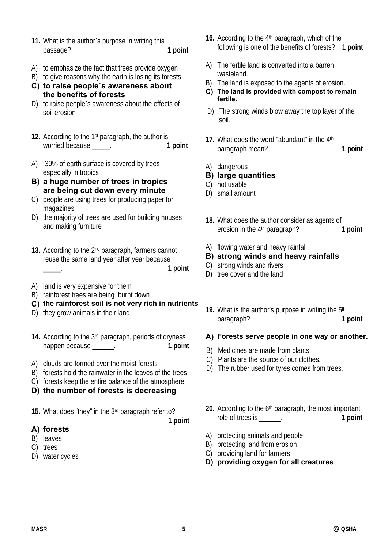- **11.** What is the author`s purpose in writing this passage? **1 point**
- A) to emphasize the fact that trees provide oxygen
- B) to give reasons why the earth is losing its forests
- **C) to raise people`s awareness about the benefits of forests**
- D) to raise people`s awareness about the effects of soil erosion
- **12.** According to the 1st paragraph, the author is worried because \_\_\_\_\_. **1 point**
- A) 30% of earth surface is covered by trees especially in tropics
- **B) a huge number of trees in tropics are being cut down every minute**
- C) people are using trees for producing paper for magazines
- D) the majority of trees are used for building houses and making furniture
- **13.** According to the 2nd paragraph, farmers cannot reuse the same land year after year because

\_\_\_\_\_. **1 point**

- A) land is very expensive for them
- B) rainforest trees are being burnt down
- **C) the rainforest soil is not very rich in nutrients**
- D) they grow animals in their land
- **14.** According to the 3rd paragraph, periods of dryness happen because **1 point**
- A) clouds are formed over the moist forests
- B) forests hold the rainwater in the leaves of the trees
- C) forests keep the entire balance of the atmosphere
- **D) the number of forests is decreasing**
- **15.** What does "they" in the 3rd paragraph refer to?

 **1 point**

### **A) forests**

- B) leaves
- C) trees
- D) water cycles
- 16. According to the 4<sup>th</sup> paragraph, which of the following is one of the benefits of forests? **1 point**
- A) The fertile land is converted into a barren wasteland.
- B) The land is exposed to the agents of erosion.
- **C) The land is provided with compost to remain fertile.**
- D) The strong winds blow away the top layer of the soil.
- **17.** What does the word "abundant" in the 4th paragraph mean? 1 point
- A) dangerous
- **B) large quantities**
- C) not usable
- D) small amount
- **18.** What does the author consider as agents of erosion in the 4<sup>th</sup> paragraph? 1 point
- A) flowing water and heavy rainfall
- **B) strong winds and heavy rainfalls**
- C) strong winds and rivers
- D) tree cover and the land
- **19.** What is the author's purpose in writing the 5th paragraph? 1 point

#### **A) Forests serve people in one way or another.**

- B) Medicines are made from plants.
- C) Plants are the source of our clothes.
- D) The rubber used for tyres comes from trees.
- **20.** According to the 6th paragraph, the most important role of trees is \_\_\_\_\_\_. **1 point**
- A) protecting animals and people
- B) protecting land from erosion
- C) providing land for farmers
- **D) providing oxygen for all creatures**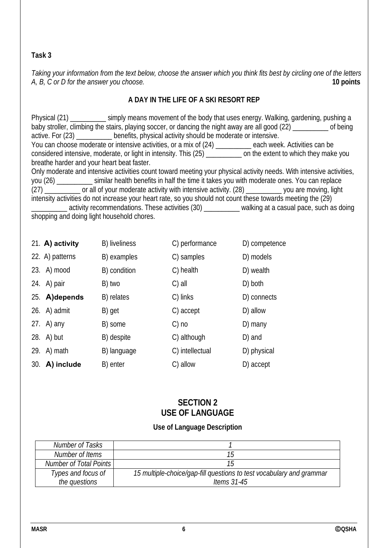## **Task 3**

*Taking your information from the text below, choose the answer which you think fits best by circling one of the letters A, B, C or D for the answer you choose.* 

## **A DAY IN THE LIFE OF A SKI RESORT REP**

Physical (21) simply means movement of the body that uses energy. Walking, gardening, pushing a baby stroller, climbing the stairs, playing soccer, or dancing the night away are all good (22) \_\_\_\_\_\_\_\_\_\_ of being active. For (23) \_\_\_\_\_\_\_\_\_\_ benefits, physical activity should be moderate or intensive. You can choose moderate or intensive activities, or a mix of (24) \_\_\_\_\_\_\_\_\_\_ each week. Activities can be considered intensive, moderate, or light in intensity. This (25) \_\_\_\_\_\_\_\_\_\_ on the extent to which they make you breathe harder and your heart beat faster. Only moderate and intensive activities count toward meeting your physical activity needs. With intensive activities, you (26) \_\_\_\_\_\_\_\_\_\_ similar health benefits in half the time it takes you with moderate ones. You can replace (27) \_\_\_\_\_\_\_\_\_\_ or all of your moderate activity with intensive activity. (28) \_\_\_\_\_\_\_\_\_\_ you are moving, light

intensity activities do not increase your heart rate, so you should not count these towards meeting the (29) activity recommendations. These activities (30) \_\_\_\_\_\_\_\_\_ walking at a casual pace, such as doing shopping and doing light household chores.

|     | 21. A) activity | B) liveliness      | C) performance  | D) competence |
|-----|-----------------|--------------------|-----------------|---------------|
|     | 22. A) patterns | <b>B</b> )examples | C) samples      | D) models     |
|     | $23.$ A) mood   | B) condition       | C)health        | D) wealth     |
|     | 24. A) pair     | B) two             | $C)$ all        | D) both       |
|     | 25. A) depends  | B) relates         | C) links        | D) connects   |
|     | 26. A) admit    | B)get              | C) accept       | D) allow      |
|     | 27. $A)$ any    | <b>B</b> )some     | $C)$ no         | D) many       |
|     | 28. A) but      | B) despite         | C)although      | D) and        |
|     | 29. A) math     | B) language        | C) intellectual | D)physical    |
| 30. | A) include      | B) enter           | C) allow        | D) accept     |

# **SECTION 2 USE OF LANGUAGE**

### **Use of Language Description**

| Number of Tasks               |                                                                      |
|-------------------------------|----------------------------------------------------------------------|
| Number of Items               | 15                                                                   |
| <b>Number of Total Points</b> | 15                                                                   |
| Types and focus of            | 15 multiple-choice/gap-fill questions to test vocabulary and grammar |
| the questions                 | Items $31-45$                                                        |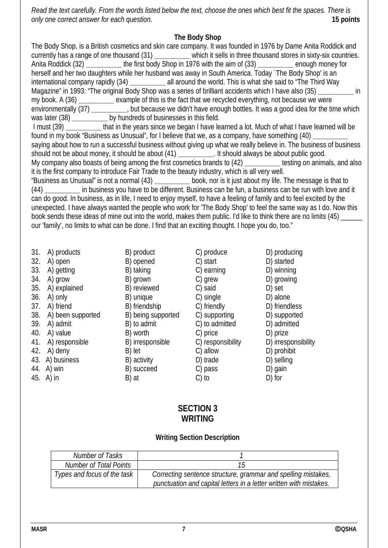*Read the text carefully. From the words listed below the text, choose the ones which best fit the spaces. There is only one correct answer for each question.* **15 points**

### **The Body Shop**

The Body Shop, is a British cosmetics and skin care company. It was founded in 1976 by Dame Anita Roddick and currently has a range of one thousand (31) **\_\_\_\_\_\_\_\_\_\_** which it sells in three thousand stores in sixty-six countries. Anita Roddick (32) **\_\_\_\_\_\_\_\_\_\_** the first body Shop in 1976 with the aim of (33) **\_\_\_\_\_\_\_\_\_\_** enough money for herself and her two daughters while her husband was away in South America. Today `The Body Shop' is an international company rapidly (34) **\_\_\_\_\_\_\_\_\_\_** all around the world. This is what she said to "The Third Way Magazine" in 1993: "The original Body Shop was a series of brilliant accidents which I have also (35) **\_\_\_\_\_\_\_\_\_\_** in my book. A (36) **\_\_\_\_\_\_\_\_\_\_** example of this is the fact that we recycled everything, not because we were environmentally (37) **\_\_\_\_\_\_\_\_\_\_**, but because we didn't have enough bottles. It was a good idea for the time which was later (38) **by hundreds of businesses in this field.** I must (39) **\_\_\_\_\_\_\_\_\_\_** that in the years since we began I have learned a lot. Much of what I have learned will be found in my book "Business as Unusual", for I believe that we, as a company, have something (40) saying about how to run a successful business without giving up what we really believe in. The business of business should not be about money, it should be about (41) **\_\_\_\_\_\_\_\_\_\_**. It should always be about public good. My company also boasts of being among the first cosmetics brands to (42) **\_\_\_\_\_\_\_\_\_\_** testing on animals, and also it is the first company to introduce Fair Trade to the beauty industry, which is all very well. "Business as Unusual" is not a normal (43) **\_\_\_\_\_\_\_\_\_\_** book, nor is it just about my life. The message is that to (44) **\_\_\_\_\_\_\_\_\_\_** in business you have to be different. Business can be fun, a business can be run with love and it can do good. In business, as in life, I need to enjoy myself, to have a feeling of family and to feel excited by the unexpected. I have always wanted the people who work for 'The Body Shop' to feel the same way as I do. Now this book sends these ideas of mine out into the world, makes them public. I'd like to think there are no limits (45) \_\_\_\_\_\_ our 'family', no limits to what can be done. I find that an exciting thought. I hope you do, too."

| 31. | A) products       | B) product         | C) produce        | D) producing        |
|-----|-------------------|--------------------|-------------------|---------------------|
| 32. | A) open           | B) opened          | C) start          | D) started          |
| 33. | A) getting        | B) taking          | C) earning        | D) winning          |
| 34. | A) grow           | B) grown           | C) grew           | D) growing          |
| 35. | A) explained      | B) reviewed        | C) said           | D) set              |
| 36. | A) only           | B) unique          | C) single         | D) alone            |
| 37. | A) friend         | B) friendship      | C) friendly       | D) friendless       |
| 38. | A) been supported | B) being supported | C) supporting     | D) supported        |
| 39. | A) admit          | B) to admit        | C) to admitted    | D) admitted         |
| 40. | A) value          | B) worth           | C) price          | D) prize            |
| 41. | A) responsible    | B) irresponsible   | C) responsibility | D) irresponsibility |
| 42. | A) deny           | B) let             | C) allow          | D) prohibit         |
| 43. | A) business       | B) activity        | D) trade          | D) selling          |
| 44. | A) win            | <b>B)</b> succeed  | C) pass           | D) gain             |
| 45. | A) in             | B) at              | $C$ ) to          | D) for              |

## **SECTION 3 WRITING**

### **Writing Section Description**

| Number of Tasks               |                                                                                                                                     |
|-------------------------------|-------------------------------------------------------------------------------------------------------------------------------------|
| <b>Number of Total Points</b> |                                                                                                                                     |
| Types and focus of the task   | Correcting sentence structure, grammar and spelling mistakes,<br>punctuation and capital letters in a letter written with mistakes. |